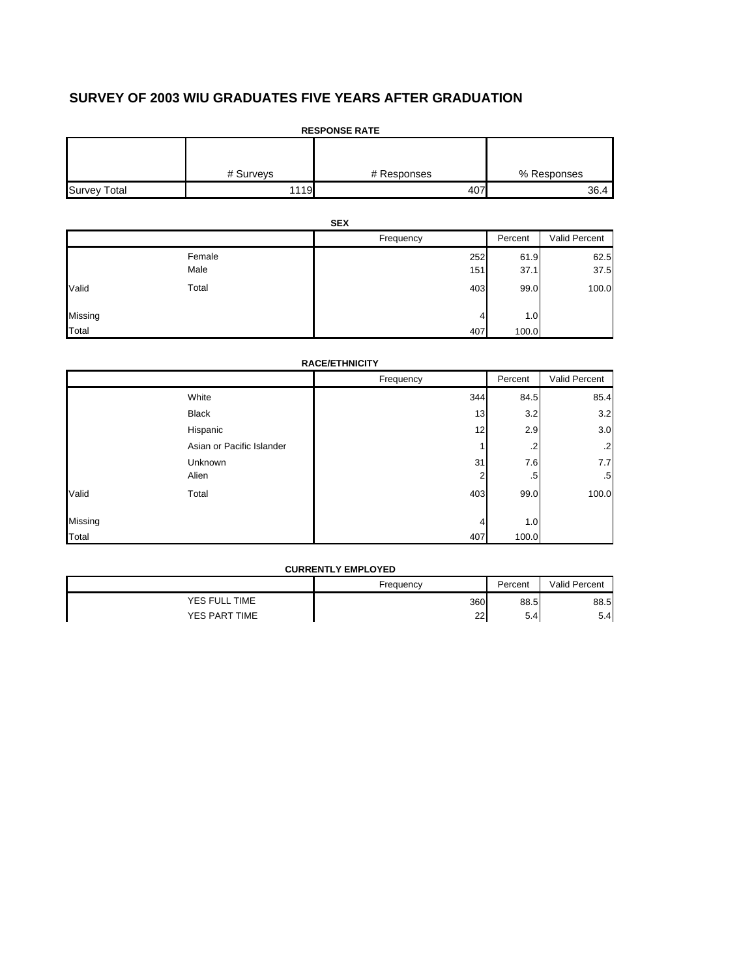# **SURVEY OF 2003 WIU GRADUATES FIVE YEARS AFTER GRADUATION**

| <b>RESPONSE RATE</b> |           |             |             |  |  |  |
|----------------------|-----------|-------------|-------------|--|--|--|
|                      |           |             |             |  |  |  |
|                      | # Surveys | # Responses | % Responses |  |  |  |
| <b>Survey Total</b>  | 1119      | 407         | 36.4        |  |  |  |

|         | <b>SEX</b> |           |         |               |  |
|---------|------------|-----------|---------|---------------|--|
|         |            | Frequency | Percent | Valid Percent |  |
|         | Female     | 252       | 61.9    | 62.5          |  |
|         | Male       | 151       | 37.1    | 37.5          |  |
| Valid   | Total      | 403       | 99.0    | 100.0         |  |
| Missing |            | 4         | 1.0     |               |  |
| Total   |            | 407       | 100.0   |               |  |

|  | <b>RACE/ETHNICITY</b> |  |  |
|--|-----------------------|--|--|
|  |                       |  |  |

|         |                           | Frequency | Percent | Valid Percent |
|---------|---------------------------|-----------|---------|---------------|
|         | White                     | 344       | 84.5    | 85.4          |
|         | <b>Black</b>              | 13        | 3.2     | 3.2           |
|         | Hispanic                  | 12        | 2.9     | 3.0           |
|         | Asian or Pacific Islander |           | .2      | $\cdot$       |
|         | Unknown                   | 31        | 7.6     | 7.7           |
|         | Alien                     | 2         | .5      | .5            |
| Valid   | Total                     | 403       | 99.0    | 100.0         |
| Missing |                           | 4         | 1.0     |               |
| Total   |                           | 407       | 100.0   |               |

| <b>CURRENTLY EMPLOYED</b> |           |         |               |  |
|---------------------------|-----------|---------|---------------|--|
|                           | Frequency | Percent | Valid Percent |  |
| YES FULL TIME             | 360       | 88.5    | 88.5          |  |
| YES PART TIME             | 22        | 5.4     | 5.4           |  |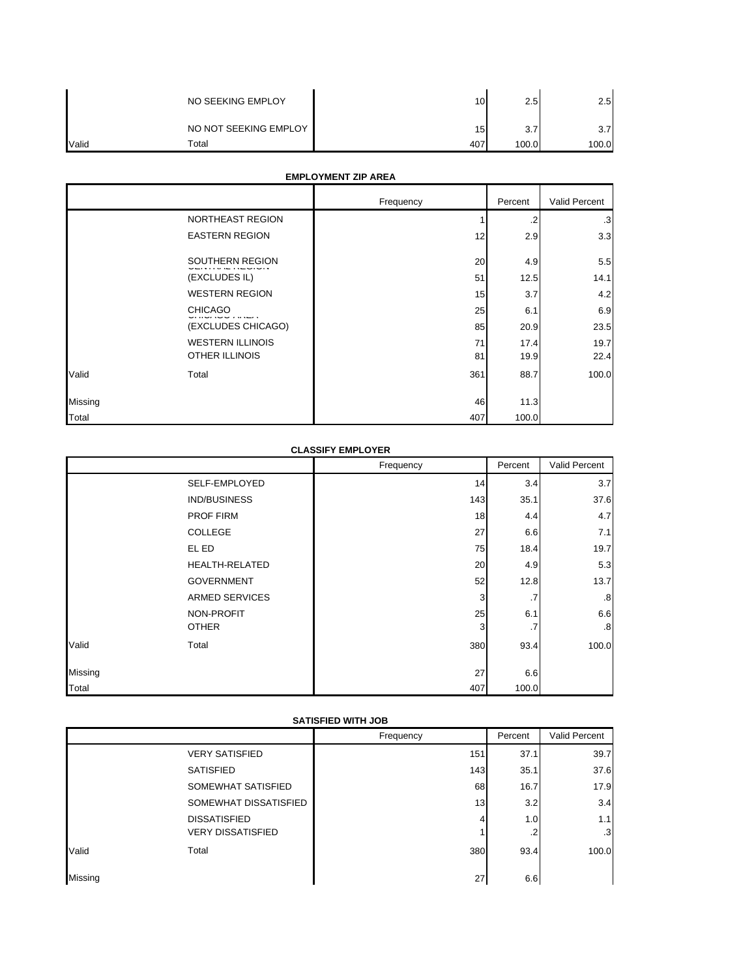|              | NO SEEKING EMPLOY     | 10 <sub>1</sub> | 2.5   | 2.5              |
|--------------|-----------------------|-----------------|-------|------------------|
|              | NO NOT SEEKING EMPLOY | 15              | 3.7   | 3.7 <sub>1</sub> |
| <b>Valid</b> | Total                 | 407             | 100.0 | 100.0            |

## **EMPLOYMENT ZIP AREA**

|         |                         | Frequency | Percent | Valid Percent |
|---------|-------------------------|-----------|---------|---------------|
|         | NORTHEAST REGION        |           | $\cdot$ | $\cdot$ 3     |
|         | <b>EASTERN REGION</b>   | 12        | 2.9     | 3.3           |
|         | SOUTHERN REGION         | 20        | 4.9     | 5.5           |
|         | (EXCLUDES IL)           | 51        | 12.5    | 14.1          |
|         | <b>WESTERN REGION</b>   | 15        | 3.7     | 4.2           |
|         | <b>CHICAGO</b>          | 25        | 6.1     | 6.9           |
|         | (EXCLUDES CHICAGO)      | 85        | 20.9    | 23.5          |
|         | <b>WESTERN ILLINOIS</b> | 71        | 17.4    | 19.7          |
|         | OTHER ILLINOIS          | 81        | 19.9    | 22.4          |
| Valid   | Total                   | 361       | 88.7    | 100.0         |
| Missing |                         | 46        | 11.3    |               |
| Total   |                         | 407       | 100.0   |               |

# **CLASSIFY EMPLOYER**

|         |                       | Frequency | Percent | Valid Percent |
|---------|-----------------------|-----------|---------|---------------|
|         | SELF-EMPLOYED         | 14        | 3.4     | 3.7           |
|         | IND/BUSINESS          | 143       | 35.1    | 37.6          |
|         | PROF FIRM             | 18        | 4.4     | 4.7           |
|         | <b>COLLEGE</b>        | 27        | 6.6     | 7.1           |
|         | EL ED                 | 75        | 18.4    | 19.7          |
|         | <b>HEALTH-RELATED</b> | 20        | 4.9     | 5.3           |
|         | <b>GOVERNMENT</b>     | 52        | 12.8    | 13.7          |
|         | <b>ARMED SERVICES</b> | 3         | .7      | .8            |
|         | NON-PROFIT            | 25        | 6.1     | 6.6           |
|         | <b>OTHER</b>          | 3         | .7      | .8            |
| Valid   | Total                 | 380       | 93.4    | 100.0         |
| Missing |                       | 27        | 6.6     |               |
| Total   |                       | 407       | 100.0   |               |

| <b>SATISFIED WITH JOB</b> |                          |                 |         |                 |  |
|---------------------------|--------------------------|-----------------|---------|-----------------|--|
|                           |                          | Frequency       | Percent | Valid Percent   |  |
|                           | <b>VERY SATISFIED</b>    | 151             | 37.1    | 39.7            |  |
|                           | <b>SATISFIED</b>         | 143             | 35.1    | 37.6            |  |
|                           | SOMEWHAT SATISFIED       | 68              | 16.7    | 17.9            |  |
|                           | SOMEWHAT DISSATISFIED    | 13 <sub>1</sub> | 3.2     | 3.4             |  |
|                           | <b>DISSATISFIED</b>      | 4               | 1.0     | 1.1             |  |
|                           | <b>VERY DISSATISFIED</b> |                 | $\cdot$ | .3 <sub>l</sub> |  |
| Valid                     | Total                    | 380             | 93.4    | 100.0           |  |
| Missing                   |                          | 27              | 6.6     |                 |  |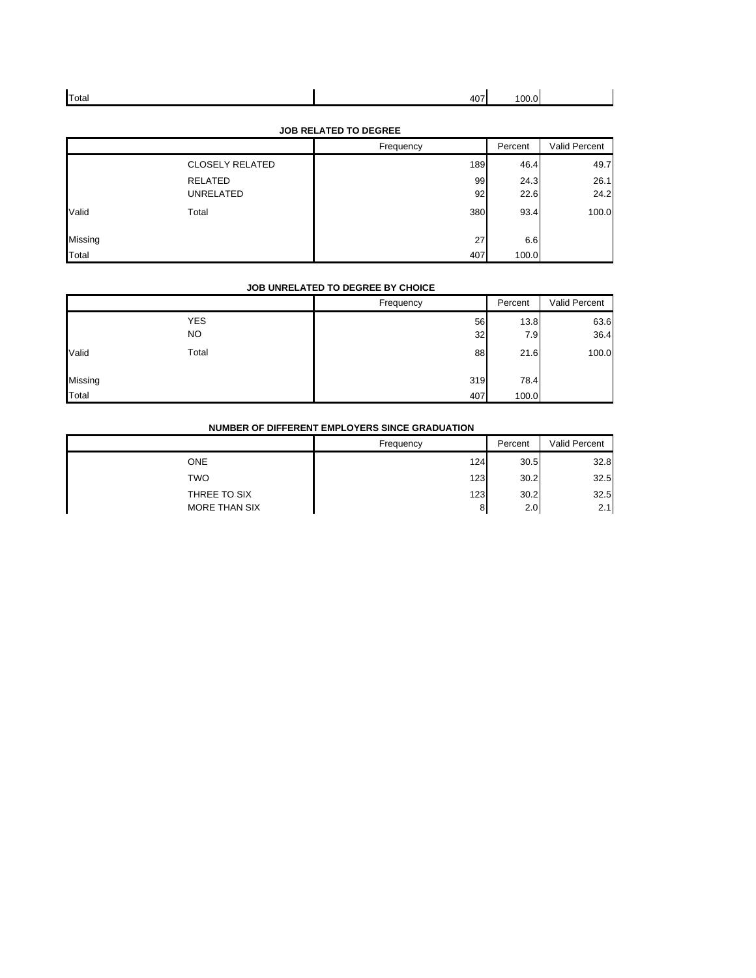| Total | $ -$<br><br>TV. | $\sim$ |  |
|-------|-----------------|--------|--|
|       |                 |        |  |

|         | <b>JOB RELATED TO DEGREE</b> |           |         |               |  |  |
|---------|------------------------------|-----------|---------|---------------|--|--|
|         |                              | Frequency | Percent | Valid Percent |  |  |
|         | <b>CLOSELY RELATED</b>       | 189       | 46.4    | 49.7          |  |  |
|         | <b>RELATED</b>               | 99        | 24.3    | 26.1          |  |  |
|         | <b>UNRELATED</b>             | 92        | 22.6    | 24.2          |  |  |
| Valid   | Total                        | 380       | 93.4    | 100.0         |  |  |
| Missing |                              | 27        | 6.6     |               |  |  |
| Total   |                              | 407       | 100.0   |               |  |  |

#### **JOB RELATED TO DEGREE**

### **JOB UNRELATED TO DEGREE BY CHOICE**

|         |                   | Frequency |          | Percent     | Valid Percent |
|---------|-------------------|-----------|----------|-------------|---------------|
|         | <b>YES</b><br>NO. |           | 56<br>32 | 13.8<br>7.9 | 63.6<br>36.4  |
| Valid   | Total             |           | 88       | 21.6        | 100.0         |
| Missing |                   |           | 319      | 78.4        |               |
| Total   |                   |           | 407      | 100.0       |               |

# **NUMBER OF DIFFERENT EMPLOYERS SINCE GRADUATION**

|               | Frequency | Percent | Valid Percent |
|---------------|-----------|---------|---------------|
| <b>ONE</b>    | 124       | 30.5    | 32.8          |
| <b>TWO</b>    | 123       | 30.2    | 32.5          |
| THREE TO SIX  | 123       | 30.2    | 32.5          |
| MORE THAN SIX | 8         | 2.0     | 2.1           |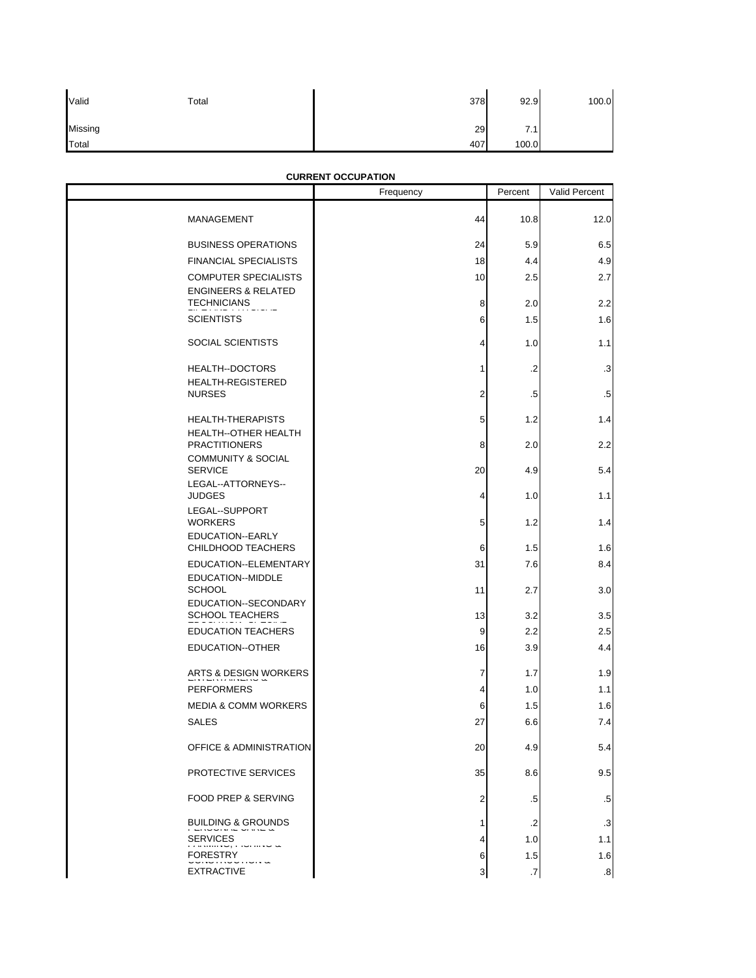| Valid   | Total | 378       | 92.9             | 100.0 |
|---------|-------|-----------|------------------|-------|
| Missing |       | <b>29</b> | 7.1<br>$\cdot$ . |       |
| Total   |       | 407       | 100.0            |       |

# Frequency | Percent | Valid Percent MANAGEMENT 12.0 BUSINESS OPERATIONS **24** 5.9 6.5 FINANCIAL SPECIALISTS 18 4.4 4.9 COMPUTER SPECIALISTS 10 2.5 2.7 ENGINEERS & RELATED  $TECHNICIANS$  8 2.2 2.2 SCIENTISTS 1.6 1.5 1.6 SOCIAL SCIENTISTS  $\begin{array}{ccc} 4 & 1.0 & 1.1 \end{array}$ HEALTH--DOCTORS | 2 .3 HEALTH-REGISTERED NURSES 2 .5 .5 HEALTH-THERAPISTS **1.4** 1.4 HEALTH--OTHER HEALTH PRACTITIONERS 8 2.0 2.2 COMMUNITY & SOCIAL SERVICE  $20|$  4.9 5.4 LEGAL--ATTORNEYS--<br>JUDGES JUDGES  $\begin{array}{cccccccccc} 4 & & 1.0 & & & 1.1 \end{array}$ LEGAL--SUPPORT WORKERS 1.2 1.4 EDUCATION--EARLY CHILDHOOD TEACHERS **6** 1.5 1.6 EDUCATION--ELEMENTARY 31 31 7.6 8.4 EDUCATION--MIDDLE SCHOOL  $\begin{array}{cccc} 3.0 & 3.0 \end{array}$ EDUCATION--SECONDARY SCHOOL TEACHERS 13 3.5 EDUCATION TEACHERS **EXECUTED ASSESS 1** 2.5 EDUCATION--OTHER **16** 4.4 ARTS & DESIGN WORKERS **1.9** ENTERTAINERS **1.9** ENTERTAINMENT **1.9** PERFORMERS 1.1 MEDIA & COMM WORKERS **1.5** 1.6 SALES 27 6.6 7.4 OFFICE & ADMINISTRATION 20 4.9 4.9 PROTECTIVE SERVICES **19.5** 8.6 9.5 FOOD PREP & SERVING **2** 2 .5 .5 BUILDING & GROUNDS 2 .3 SERVICES  $\frac{1}{2}$  1.0 1.1 FORESTRY 1.6 1.6 1.1 FORESTRY 1.6 **CURRENT OCCUPATION**

FORESTRY 6 1.5 1.6<br>EXTRACTIVE 3 3 3 EXTRACTIVE 3 .7 .8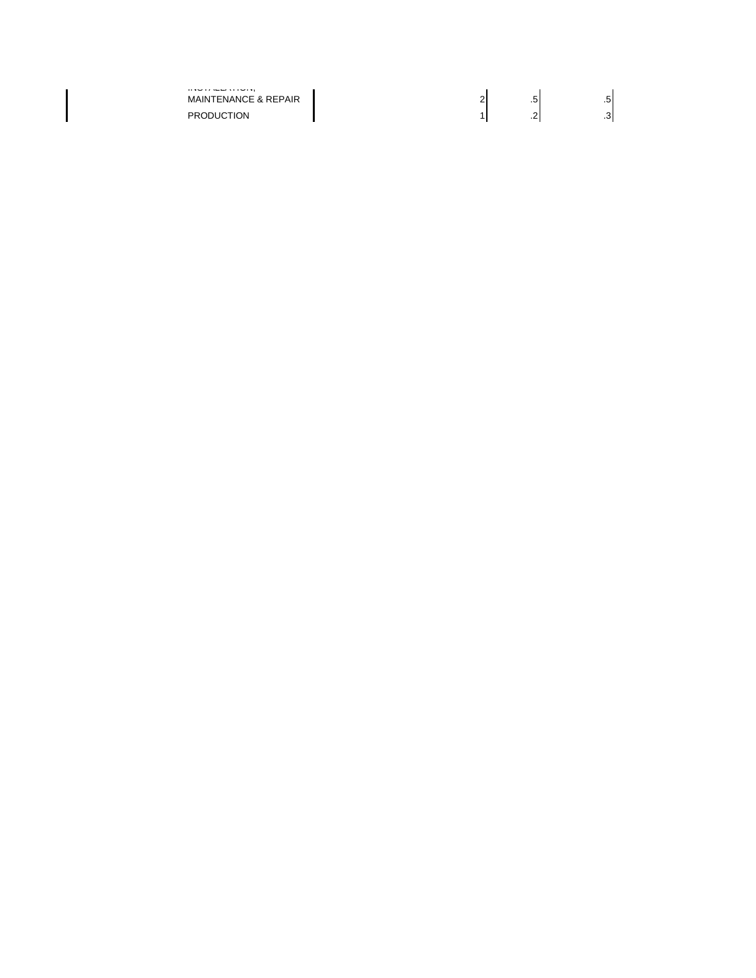| $\cdots$<br><b>MAINTENANCE &amp; REPAIR</b> |     | . . |
|---------------------------------------------|-----|-----|
| <b>PRODUCTION</b>                           | . . |     |

 $\mathsf{l}$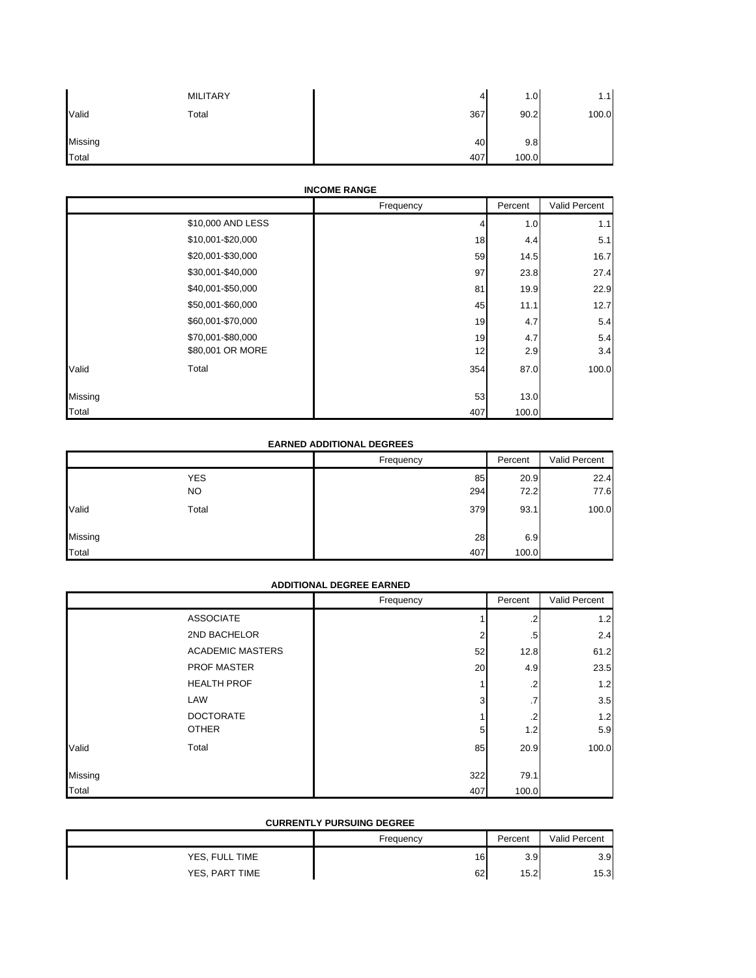|              | <b>MILITARY</b> | 4   | 1.0 <sub>l</sub> | 1.11  |
|--------------|-----------------|-----|------------------|-------|
| Valid        | Total           | 367 | 90.2             | 100.0 |
| Missing      |                 | 40  | 9.8              |       |
| <b>Total</b> |                 | 407 | 100.0            |       |

### **INCOME RANGE**

|                |                   | Frequency | Percent | Valid Percent |
|----------------|-------------------|-----------|---------|---------------|
|                | \$10,000 AND LESS | 4         | 1.0     | 1.1           |
|                | \$10,001-\$20,000 | 18        | 4.4     | 5.1           |
|                | \$20,001-\$30,000 | 59        | 14.5    | 16.7          |
|                | \$30,001-\$40,000 | 97        | 23.8    | 27.4          |
|                | \$40,001-\$50,000 | 81        | 19.9    | 22.9          |
|                | \$50,001-\$60,000 | 45        | 11.1    | 12.7          |
|                | \$60,001-\$70,000 | 19        | 4.7     | 5.4           |
|                | \$70,001-\$80,000 | 19        | 4.7     | 5.4           |
|                | \$80,001 OR MORE  | 12        | 2.9     | 3.4           |
| Valid<br>Total |                   | 354       | 87.0    | 100.0         |
| Missing        |                   | 53        | 13.0    |               |
| Total          |                   | 407       | 100.0   |               |

## **EARNED ADDITIONAL DEGREES**

|         |                   | Frequency | Percent      | Valid Percent |
|---------|-------------------|-----------|--------------|---------------|
|         | <b>YES</b><br>NO. | 85<br>294 | 20.9<br>72.2 | 22.4<br>77.6  |
| Valid   | Total             | 379       | 93.1         | 100.0         |
| Missing |                   | 28        | 6.9          |               |
| Total   |                   | 407       | 100.0        |               |

### **ADDITIONAL DEGREE EARNED**

|         |                         | Frequency | Percent | Valid Percent |
|---------|-------------------------|-----------|---------|---------------|
|         | <b>ASSOCIATE</b>        |           | $\cdot$ | 1.2           |
|         | 2ND BACHELOR            | ◠         | .5      | 2.4           |
|         | <b>ACADEMIC MASTERS</b> | 52        | 12.8    | 61.2          |
|         | <b>PROF MASTER</b>      | 20        | 4.9     | 23.5          |
|         | <b>HEALTH PROF</b>      |           | $\cdot$ | 1.2           |
|         | LAW                     | 3         | .7      | 3.5           |
|         | <b>DOCTORATE</b>        |           | $\cdot$ | 1.2           |
|         | <b>OTHER</b>            | 5         | 1.2     | 5.9           |
| Valid   | Total                   | 85        | 20.9    | 100.0         |
| Missing |                         | 322       | 79.1    |               |
| Total   |                         | 407       | 100.0   |               |

## **CURRENTLY PURSUING DEGREE**

|                | Frequency | Percent | <b>Valid Percent</b> |
|----------------|-----------|---------|----------------------|
| YES, FULL TIME | 16        | 3.9     | 3.9                  |
| YES, PART TIME | 62        | 15.2    | 15.3                 |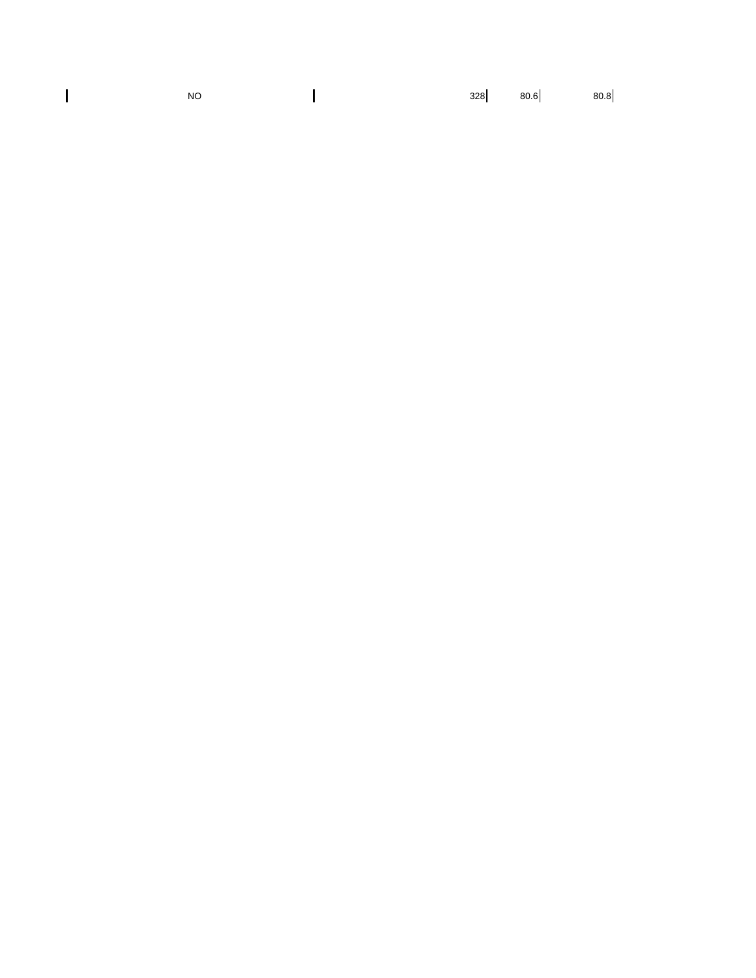| <b>NO</b> |  | $328$ $80.6$ $80.8$ |
|-----------|--|---------------------|
|           |  |                     |

 $\overline{\mathbf{I}}$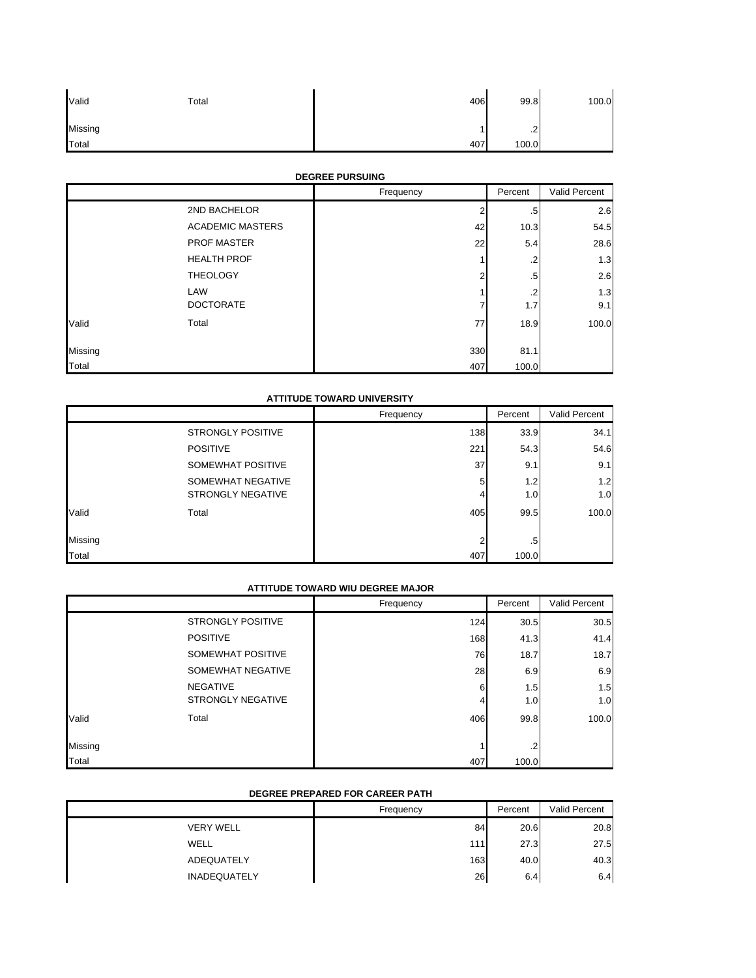| Valid   | Total | 406 | 99.8           | 100.0 |
|---------|-------|-----|----------------|-------|
| Missing |       |     | $\Omega$<br>ے. |       |
| Total   |       | 407 | 100.0          |       |

## **DEGREE PURSUING**

|         |                         | Frequency | Percent | Valid Percent |
|---------|-------------------------|-----------|---------|---------------|
|         | 2ND BACHELOR            | 2         | .5      | 2.6           |
|         | <b>ACADEMIC MASTERS</b> | 42        | 10.3    | 54.5          |
|         | PROF MASTER             | 22        | 5.4     | 28.6          |
|         | <b>HEALTH PROF</b>      |           | $\cdot$ | 1.3           |
|         | <b>THEOLOGY</b>         | າ         | $.5\,$  | 2.6           |
|         | LAW                     |           | $\cdot$ | 1.3           |
|         | <b>DOCTORATE</b>        |           | 1.7     | 9.1           |
| Valid   | Total                   | 77        | 18.9    | 100.0         |
| Missing |                         | 330       | 81.1    |               |
| Total   |                         | 407       | 100.0   |               |

### **ATTITUDE TOWARD UNIVERSITY**

|         |                          | Frequency | Percent | Valid Percent |
|---------|--------------------------|-----------|---------|---------------|
|         | <b>STRONGLY POSITIVE</b> | 138       | 33.9    | 34.1          |
|         | <b>POSITIVE</b>          | 221       | 54.3    | 54.6          |
|         | SOMEWHAT POSITIVE        | 37        | 9.1     | 9.1           |
|         | SOMEWHAT NEGATIVE        | 5         | 1.2     | 1.2           |
|         | <b>STRONGLY NEGATIVE</b> | 4         | 1.0     | 1.0           |
| Valid   | Total                    | 405       | 99.5    | 100.0         |
| Missing |                          | c         | .5      |               |
| Total   |                          | 407       | 100.0   |               |

### **ATTITUDE TOWARD WIU DEGREE MAJOR**

|         |                          | Frequency | Percent | Valid Percent |
|---------|--------------------------|-----------|---------|---------------|
|         | <b>STRONGLY POSITIVE</b> | 124       | 30.5    | 30.5          |
|         | <b>POSITIVE</b>          | 168       | 41.3    | 41.4          |
|         | SOMEWHAT POSITIVE        | 76        | 18.7    | 18.7          |
|         | SOMEWHAT NEGATIVE        | 28        | 6.9     | 6.9           |
|         | <b>NEGATIVE</b>          | 6         | 1.5     | 1.5           |
|         | <b>STRONGLY NEGATIVE</b> | 4         | 1.0     | 1.0           |
| Valid   | Total                    | 406       | 99.8    | 100.0         |
|         |                          |           |         |               |
| Missing |                          |           | $\cdot$ |               |
| Total   |                          | 407       | 100.0   |               |

## **DEGREE PREPARED FOR CAREER PATH**

|                     | Frequency | Percent | Valid Percent |
|---------------------|-----------|---------|---------------|
| <b>VERY WELL</b>    | 84        | 20.6    | 20.8          |
| WELL                | 111       | 27.3    | 27.5          |
| ADEQUATELY          | 163       | 40.0    | 40.3          |
| <b>INADEQUATELY</b> | 26        | 6.4     | 6.4           |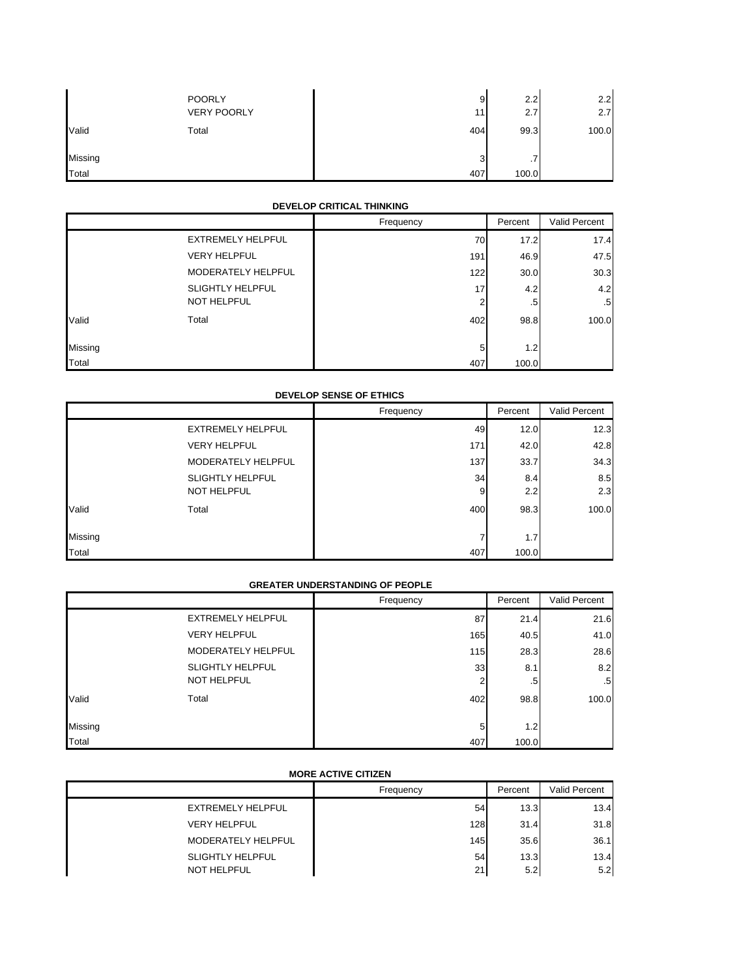|         | <b>POORLY</b><br><b>VERY POORLY</b> | 9<br>11 | 2.2<br>2.7 | 2.2<br>2.7 |
|---------|-------------------------------------|---------|------------|------------|
| Valid   | Total                               | 404     | 99.3       | 100.0      |
| Missing |                                     | 3       | . .        |            |
| Total   |                                     | 407     | 100.0      |            |

#### **DEVELOP CRITICAL THINKING**

|         |                          | Frequency | Percent | Valid Percent   |
|---------|--------------------------|-----------|---------|-----------------|
|         | <b>EXTREMELY HELPFUL</b> | 70        | 17.2    | 17.4            |
|         | <b>VERY HELPFUL</b>      | 191       | 46.9    | 47.5            |
|         | MODERATELY HELPFUL       | 122       | 30.0    | 30.3            |
|         | <b>SLIGHTLY HELPFUL</b>  | 17        | 4.2     | 4.2             |
|         | <b>NOT HELPFUL</b>       | 2         | .5      | .5 <sub>1</sub> |
| Valid   | Total                    | 402       | 98.8    | 100.0           |
| Missing |                          | 5         | 1.2     |                 |
| Total   |                          | 407       | 100.0   |                 |

### **DEVELOP SENSE OF ETHICS**

|         |                          | Frequency | Percent | Valid Percent |
|---------|--------------------------|-----------|---------|---------------|
|         | <b>EXTREMELY HELPFUL</b> | 49        | 12.0    | 12.3          |
|         | <b>VERY HELPFUL</b>      | 171       | 42.0    | 42.8          |
|         | MODERATELY HELPFUL       | 137       | 33.7    | 34.3          |
|         | <b>SLIGHTLY HELPFUL</b>  | 34        | 8.4     | 8.5           |
|         | <b>NOT HELPFUL</b>       | 9         | 2.2     | 2.3           |
| Valid   | Total                    | 400       | 98.3    | 100.0         |
| Missing |                          |           | 1.7     |               |
| Total   |                          | 407       | 100.0   |               |

## **GREATER UNDERSTANDING OF PEOPLE**

|         |                          | Frequency | Percent          | Valid Percent |
|---------|--------------------------|-----------|------------------|---------------|
|         | <b>EXTREMELY HELPFUL</b> | 87        | 21.4             | 21.6          |
|         | <b>VERY HELPFUL</b>      | 165       | 40.5             | 41.0          |
|         | MODERATELY HELPFUL       | 115       | 28.3             | 28.6          |
|         | <b>SLIGHTLY HELPFUL</b>  | 33        | 8.1              | 8.2           |
|         | <b>NOT HELPFUL</b>       | 2         | .5               | $.5\,$        |
| Valid   | Total                    | 402       | 98.8             | 100.0         |
| Missing |                          | 5         | 1.2 <sub>1</sub> |               |
| Total   |                          | 407       | 100.0            |               |

# **MORE ACTIVE CITIZEN**

|                         | Frequency | Percent | Valid Percent |
|-------------------------|-----------|---------|---------------|
| EXTREMELY HELPFUL       | 54        | 13.3    | 13.4          |
| <b>VERY HELPFUL</b>     | 128       | 31.4    | 31.8          |
| MODERATELY HELPFUL      | 145       | 35.6    | 36.1          |
| <b>SLIGHTLY HELPFUL</b> | 54        | 13.3    | 13.4          |
| <b>NOT HELPFUL</b>      | 21        | 5.2     | 5.2           |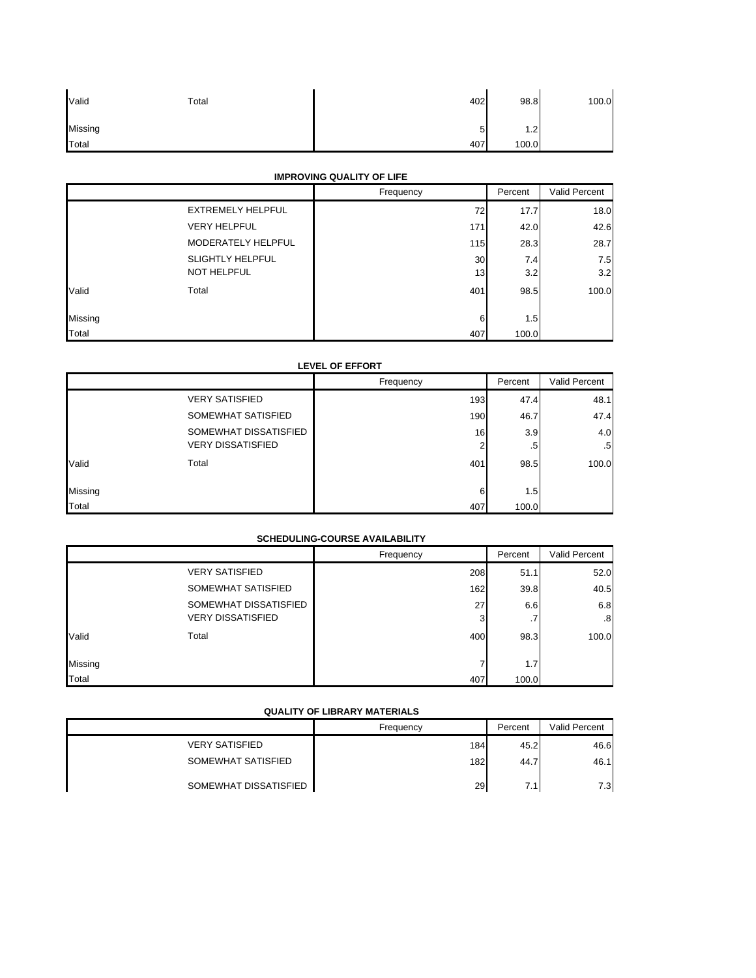| Valid   | Total | 402        | 98.8  | 100.0 |
|---------|-------|------------|-------|-------|
| Missing |       | -<br>∽<br> | 1.2   |       |
| Total   |       | 407        | 100.0 |       |

## **IMPROVING QUALITY OF LIFE**

|         |                          | Frequency       | Percent | Valid Percent |
|---------|--------------------------|-----------------|---------|---------------|
|         | <b>EXTREMELY HELPFUL</b> | 72              | 17.7    | 18.0          |
|         | <b>VERY HELPFUL</b>      | 171             | 42.0    | 42.6          |
|         | MODERATELY HELPFUL       | 115             | 28.3    | 28.7          |
|         | <b>SLIGHTLY HELPFUL</b>  | 30              | 7.4     | 7.5           |
|         | <b>NOT HELPFUL</b>       | 13 <sub>1</sub> | 3.2     | 3.2           |
| Valid   | Total                    | 401             | 98.5    | 100.0         |
| Missing |                          | 6               | 1.5     |               |
| Total   |                          | 407             | 100.0   |               |

### **LEVEL OF EFFORT**

|         |                          | Frequency | Percent | Valid Percent |
|---------|--------------------------|-----------|---------|---------------|
|         | <b>VERY SATISFIED</b>    | 193       | 47.4    | 48.1          |
|         | SOMEWHAT SATISFIED       | 190       | 46.7    | 47.4          |
|         | SOMEWHAT DISSATISFIED    | 16        | 3.9     | 4.0           |
|         | <b>VERY DISSATISFIED</b> | 2         | .5      | $.5\,$        |
| Valid   | Total                    | 401       | 98.5    | 100.0         |
|         |                          |           |         |               |
| Missing |                          | 6         | 1.5     |               |
| Total   |                          | 407       | 100.0   |               |

## **SCHEDULING-COURSE AVAILABILITY**

|         |                          | Frequency | Percent | Valid Percent |
|---------|--------------------------|-----------|---------|---------------|
|         | <b>VERY SATISFIED</b>    | 208       | 51.1    | 52.0          |
|         | SOMEWHAT SATISFIED       | 162       | 39.8    | 40.5          |
|         | SOMEWHAT DISSATISFIED    | 27        | 6.6     | 6.8           |
|         | <b>VERY DISSATISFIED</b> | 3         | .7      | .8            |
| Valid   | Total                    | 400       | 98.3    | 100.0         |
| Missing |                          |           | 1.7     |               |
| Total   |                          | 407       | 100.0   |               |

#### **QUALITY OF LIBRARY MATERIALS**

|                       | Frequency | Percent | Valid Percent |
|-----------------------|-----------|---------|---------------|
| <b>VERY SATISFIED</b> | 184       | 45.2    | 46.6          |
| SOMEWHAT SATISFIED    | 182       | 44.7    | 46.1          |
| SOMEWHAT DISSATISFIED | 29        | 7.1     | 7.3           |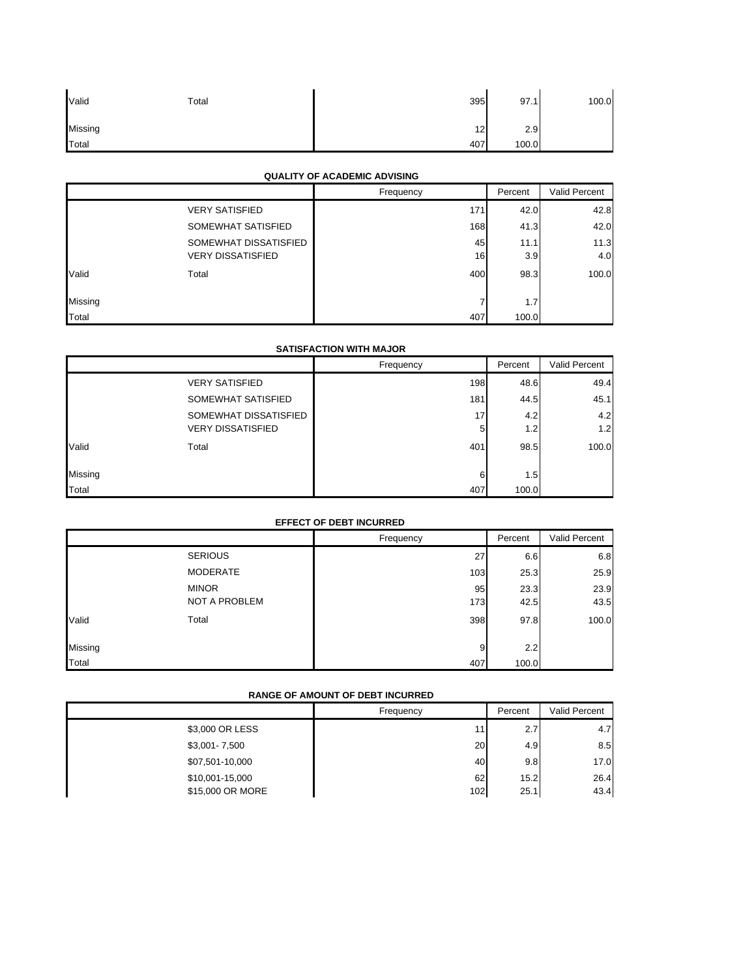| Valid   | Total | 395 | 97.1  | 100.0 |
|---------|-------|-----|-------|-------|
| Missing |       | 12  | 2.9   |       |
| Total   |       | 407 | 100.0 |       |

### **QUALITY OF ACADEMIC ADVISING**

|         |                          | Frequency | Percent | Valid Percent |
|---------|--------------------------|-----------|---------|---------------|
|         | <b>VERY SATISFIED</b>    | 171       | 42.0    | 42.8          |
|         | SOMEWHAT SATISFIED       | 168       | 41.3    | 42.0          |
|         | SOMEWHAT DISSATISFIED    | 45        | 11.1    | 11.3          |
|         | <b>VERY DISSATISFIED</b> | 16        | 3.9     | 4.0           |
| Valid   | Total                    | 400       | 98.3    | 100.0         |
|         |                          |           |         |               |
| Missing |                          |           | 1.7     |               |
| Total   |                          | 407       | 100.0   |               |

### **SATISFACTION WITH MAJOR**

|         |                          | Frequency | Percent          | Valid Percent |
|---------|--------------------------|-----------|------------------|---------------|
|         | <b>VERY SATISFIED</b>    | 198       | 48.6             | 49.4          |
|         | SOMEWHAT SATISFIED       | 181       | 44.5             | 45.1          |
|         | SOMEWHAT DISSATISFIED    | 17        | 4.2              | 4.2           |
|         | <b>VERY DISSATISFIED</b> | 5         | 1.2 <sub>1</sub> | 1.2           |
| Valid   | Total                    | 401       | 98.5             | 100.0         |
|         |                          |           |                  |               |
| Missing |                          | 6         | 1.5              |               |
| Total   |                          | 407       | 100.0            |               |

## **EFFECT OF DEBT INCURRED**

|         |                | Frequency | Percent | Valid Percent |
|---------|----------------|-----------|---------|---------------|
|         | <b>SERIOUS</b> | 27        | 6.6     | 6.8           |
|         | MODERATE       | 103       | 25.3    | 25.9          |
|         | <b>MINOR</b>   | 95        | 23.3    | 23.9          |
|         | NOT A PROBLEM  | 173       | 42.5    | 43.5          |
| Valid   | Total          | 398       | 97.8    | 100.0         |
|         |                |           |         |               |
| Missing |                | 9         | 2.2     |               |
| Total   |                | 407       | 100.0   |               |

### **RANGE OF AMOUNT OF DEBT INCURRED**

|                  | Frequency | Percent          | Valid Percent |
|------------------|-----------|------------------|---------------|
| \$3,000 OR LESS  | 11        | 2.7              | 4.7           |
| \$3,001-7,500    | 20        | 4.9 <sub>1</sub> | 8.5           |
| \$07,501-10,000  | 40        | 9.8              | 17.0          |
| \$10,001-15,000  | 62        | 15.2             | 26.4          |
| \$15,000 OR MORE | 102       | 25.1             | 43.4          |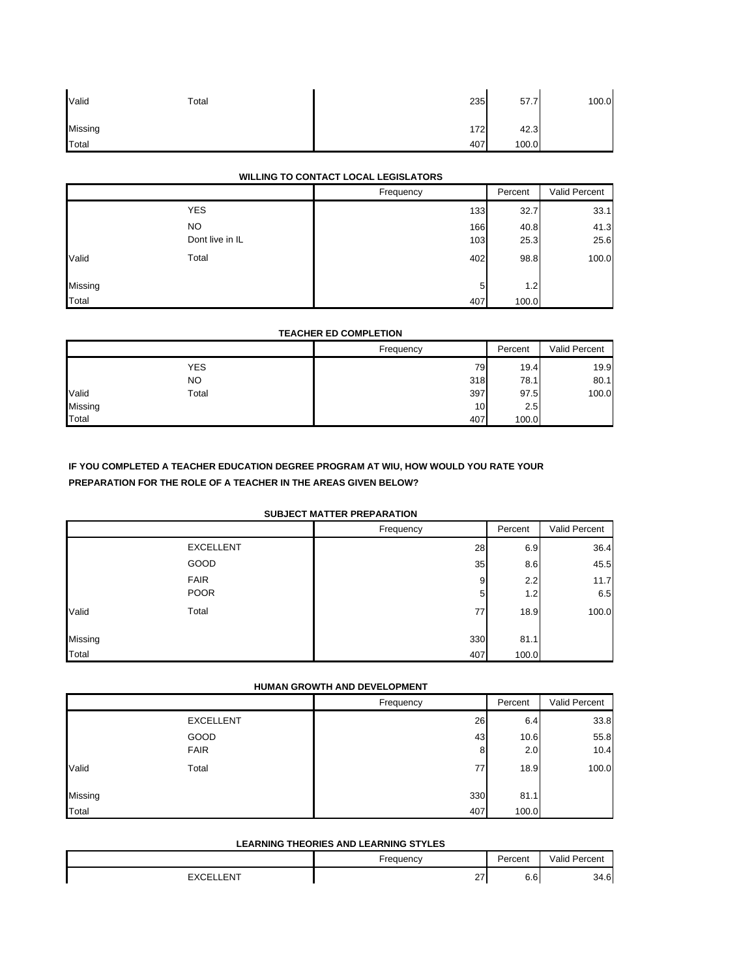| Valid   | Total | 235 | 57.7  | 100.0 |
|---------|-------|-----|-------|-------|
| Missing |       | 172 | 42.3  |       |
| Total   |       | 407 | 100.0 |       |

### **WILLING TO CONTACT LOCAL LEGISLATORS**

|         |                 | Frequency | Percent | Valid Percent |
|---------|-----------------|-----------|---------|---------------|
|         | <b>YES</b>      | 133       | 32.7    | 33.1          |
|         | NO.             | 166       | 40.8    | 41.3          |
|         | Dont live in IL | 103       | 25.3    | 25.6          |
| Valid   | Total           | 402       | 98.8    | 100.0         |
| Missing |                 | 5         | 1.2     |               |
| Total   |                 | 407       | 100.0   |               |

### **TEACHER ED COMPLETION**

|         |            | Frequency | Percent | Valid Percent |
|---------|------------|-----------|---------|---------------|
|         | <b>YES</b> | 79        | 19.4    | 19.9          |
|         | NO.        | 318       | 78.1    | 80.1          |
| Valid   | Total      | 397       | 97.5    | 100.0         |
| Missing |            | 10        | 2.5     |               |
| Total   |            | 407       | 100.0   |               |

## **IF YOU COMPLETED A TEACHER EDUCATION DEGREE PROGRAM AT WIU, HOW WOULD YOU RATE YOUR PREPARATION FOR THE ROLE OF A TEACHER IN THE AREAS GIVEN BELOW?**

### **SUBJECT MATTER PREPARATION**

|         | SUBJECT MATTER PREPARATION |           |            |               |  |
|---------|----------------------------|-----------|------------|---------------|--|
|         |                            | Frequency | Percent    | Valid Percent |  |
|         | <b>EXCELLENT</b>           | 28        | 6.9        | 36.4          |  |
|         | GOOD                       | 35        | 8.6        | 45.5          |  |
|         | <b>FAIR</b><br><b>POOR</b> | 9<br>5    | 2.2<br>1.2 | 11.7<br>6.5   |  |
| Valid   | Total                      | 77        | 18.9       | 100.0         |  |
| Missing |                            | 330       | 81.1       |               |  |
| Total   |                            | 407       | 100.0      |               |  |

## **HUMAN GROWTH AND DEVELOPMENT**

|         |                  | Frequency | Percent | Valid Percent |
|---------|------------------|-----------|---------|---------------|
|         | <b>EXCELLENT</b> | 26        | 6.4     | 33.8          |
|         | GOOD             | 43        | 10.6    | 55.8          |
|         | <b>FAIR</b>      | 8         | 2.0     | 10.4          |
| Valid   | Total            | 77        | 18.9    | 100.0         |
| Missing |                  | 330       | 81.1    |               |
| Total   |                  | 407       | 100.0   |               |

#### **LEARNING THEORIES AND LEARNING STYLES**

|            | Frequency          | Percent              | Valid Percent |
|------------|--------------------|----------------------|---------------|
| <b>ENT</b> | $\sim$<br><u>_</u> | $\sim$ $\sim$<br>6.6 | 34.6          |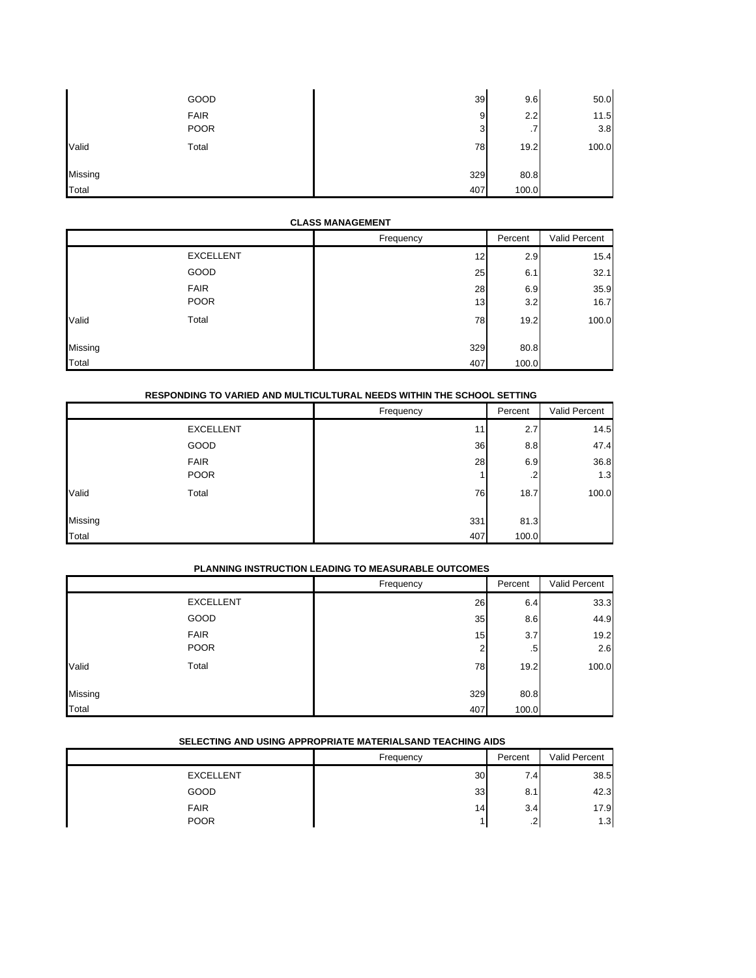|         | GOOD        | 39  | 9.6       | 50.0  |
|---------|-------------|-----|-----------|-------|
|         | <b>FAIR</b> | 9   | 2.2       | 11.5  |
|         | <b>POOR</b> | 3   | $\cdot$ 7 | 3.8   |
| Valid   | Total       | 78  | 19.2      | 100.0 |
| Missing |             | 329 | 80.8      |       |
| Total   |             | 407 | 100.0     |       |

#### **CLASS MANAGEMENT**

|         |                  | Frequency | Percent | Valid Percent |
|---------|------------------|-----------|---------|---------------|
|         | <b>EXCELLENT</b> | 12        | 2.9     | 15.4          |
|         | GOOD             | 25        | 6.1     | 32.1          |
|         | <b>FAIR</b>      | 28        | 6.9     | 35.9          |
|         | <b>POOR</b>      | 13        | 3.2     | 16.7          |
| Valid   | Total            | 78        | 19.2    | 100.0         |
| Missing |                  | 329       | 80.8    |               |
| Total   |                  | 407       | 100.0   |               |

|         | RESPONDING TO VARIED AND MULTICULTURAL NEEDS WITHIN THE SCHOOL SETTING |           |         |               |  |
|---------|------------------------------------------------------------------------|-----------|---------|---------------|--|
|         |                                                                        | Frequency | Percent | Valid Percent |  |
|         | <b>EXCELLENT</b>                                                       | 11        | 2.7     | 14.5          |  |
|         | GOOD                                                                   | 36        | 8.8     | 47.4          |  |
|         | <b>FAIR</b>                                                            | 28        | 6.9     | 36.8          |  |
|         | <b>POOR</b>                                                            |           | .2      | 1.3           |  |
| Valid   | Total                                                                  | 76        | 18.7    | 100.0         |  |
| Missing |                                                                        | 331       | 81.3    |               |  |
| Total   |                                                                        | 407       | 100.0   |               |  |

## **PLANNING INSTRUCTION LEADING TO MEASURABLE OUTCOMES**

|         |                  | Frequency | Percent      | Valid Percent |
|---------|------------------|-----------|--------------|---------------|
|         | <b>EXCELLENT</b> | 26        | 6.4          | 33.3          |
|         | GOOD             | 35        | 8.6          | 44.9          |
|         | <b>FAIR</b>      | 15        | 3.7          | 19.2          |
|         | <b>POOR</b>      | 2         | $.5^{\circ}$ | 2.6           |
| Valid   | Total            | 78        | 19.2         | 100.0         |
| Missing |                  | 329       | 80.8         |               |
| Total   |                  | 407       | 100.0        |               |

### **SELECTING AND USING APPROPRIATE MATERIALSAND TEACHING AIDS**

|                  | Frequency | Percent | Valid Percent |
|------------------|-----------|---------|---------------|
| <b>EXCELLENT</b> | 30        | 7.4     | 38.5          |
| GOOD             | 33        | 8.1     | 42.3          |
| <b>FAIR</b>      | 14        | 3.4     | 17.9          |
| <b>POOR</b>      |           | ີ<br>ے. | 1.3           |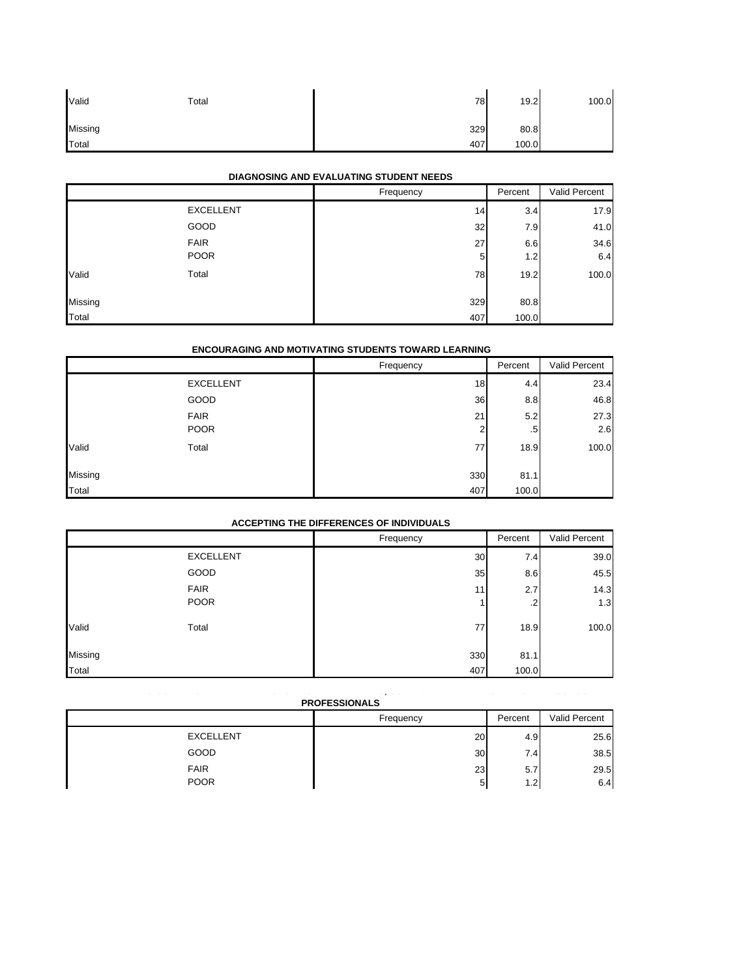| Valid   | Total | 78  | 19.2  | 100.0 |
|---------|-------|-----|-------|-------|
| Missing |       | 329 | 80.8  |       |
| Total   |       | 407 | 100.0 |       |

## **DIAGNOSING AND EVALUATING STUDENT NEEDS**

|         |                  | Frequency | Percent | Valid Percent |
|---------|------------------|-----------|---------|---------------|
|         | <b>EXCELLENT</b> | 14        | 3.4     | 17.9          |
|         | GOOD             | 32        | 7.9     | 41.0          |
|         | <b>FAIR</b>      | 27        | 6.6     | 34.6          |
|         | <b>POOR</b>      | 5         | 1.2     | 6.4           |
| Valid   | Total            | 78        | 19.2    | 100.0         |
|         |                  |           |         |               |
| Missing |                  | 329       | 80.8    |               |
| Total   |                  | 407       | 100.0   |               |

## **ENCOURAGING AND MOTIVATING STUDENTS TOWARD LEARNING**

|         | <b>ENCOURAGING AND MOTIVATING STUDENTS TOWARD LEARNING</b> |           |         |               |  |
|---------|------------------------------------------------------------|-----------|---------|---------------|--|
|         |                                                            | Frequency | Percent | Valid Percent |  |
|         | <b>EXCELLENT</b>                                           | 18        | 4.4     | 23.4          |  |
|         | GOOD                                                       | 36        | 8.8     | 46.8          |  |
|         | <b>FAIR</b>                                                | 21        | 5.2     | 27.3          |  |
|         | <b>POOR</b>                                                | 2         | .5      | 2.6           |  |
| Valid   | Total                                                      | 77        | 18.9    | 100.0         |  |
| Missing |                                                            | 330       | 81.1    |               |  |
| Total   |                                                            | 407       | 100.0   |               |  |

### **ACCEPTING THE DIFFERENCES OF INDIVIDUALS**

|         |                  | Frequency | Percent | Valid Percent |
|---------|------------------|-----------|---------|---------------|
|         | <b>EXCELLENT</b> | 30        | 7.4     | 39.0          |
|         | GOOD             | 35        | 8.6     | 45.5          |
|         | <b>FAIR</b>      | 11        | 2.7     | 14.3          |
|         | <b>POOR</b>      |           | $\cdot$ | 1.3           |
| Valid   | Total            | 77        | 18.9    | 100.0         |
| Missing |                  | 330       | 81.1    |               |
| Total   |                  | 407       | 100.0   |               |

#### **MAINTAINING COLLABORATIVE RELATIONSHIPS WITH PARENTS, COMMUNITY MEMBERS AND OTHER SCHOOL PRO**

| <b>:OFESSIONALS</b> |  |
|---------------------|--|
|---------------------|--|

|                  | Frequency       | Percent | Valid Percent |
|------------------|-----------------|---------|---------------|
| <b>EXCELLENT</b> | 20              | 4.9     | 25.6          |
| GOOD             | 30 <sub>1</sub> | 7.41    | 38.5          |
| <b>FAIR</b>      | 23              | 5.7     | 29.5          |
| <b>POOR</b>      | 5               | 1.2     | 6.4           |